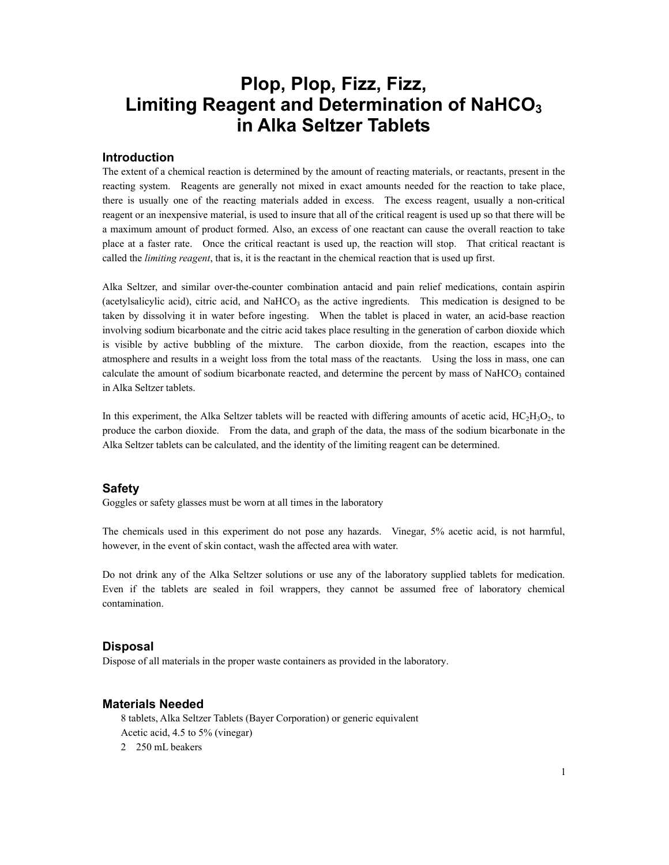## **Plop, Plop, Fizz, Fizz, Limiting Reagent and Determination of NaHCO3 in Alka Seltzer Tablets**

#### **Introduction**

The extent of a chemical reaction is determined by the amount of reacting materials, or reactants, present in the reacting system. Reagents are generally not mixed in exact amounts needed for the reaction to take place, there is usually one of the reacting materials added in excess. The excess reagent, usually a non-critical reagent or an inexpensive material, is used to insure that all of the critical reagent is used up so that there will be a maximum amount of product formed. Also, an excess of one reactant can cause the overall reaction to take place at a faster rate. Once the critical reactant is used up, the reaction will stop. That critical reactant is called the *limiting reagent*, that is, it is the reactant in the chemical reaction that is used up first.

Alka Seltzer, and similar over-the-counter combination antacid and pain relief medications, contain aspirin (acetylsalicylic acid), citric acid, and NaHCO<sub>3</sub> as the active ingredients. This medication is designed to be taken by dissolving it in water before ingesting. When the tablet is placed in water, an acid-base reaction involving sodium bicarbonate and the citric acid takes place resulting in the generation of carbon dioxide which is visible by active bubbling of the mixture. The carbon dioxide, from the reaction, escapes into the atmosphere and results in a weight loss from the total mass of the reactants. Using the loss in mass, one can calculate the amount of sodium bicarbonate reacted, and determine the percent by mass of NaHCO<sub>3</sub> contained in Alka Seltzer tablets.

In this experiment, the Alka Seltzer tablets will be reacted with differing amounts of acetic acid,  $HC_2H_3O_2$ , to produce the carbon dioxide. From the data, and graph of the data, the mass of the sodium bicarbonate in the Alka Seltzer tablets can be calculated, and the identity of the limiting reagent can be determined.

#### **Safety**

Goggles or safety glasses must be worn at all times in the laboratory

The chemicals used in this experiment do not pose any hazards. Vinegar, 5% acetic acid, is not harmful, however, in the event of skin contact, wash the affected area with water.

Do not drink any of the Alka Seltzer solutions or use any of the laboratory supplied tablets for medication. Even if the tablets are sealed in foil wrappers, they cannot be assumed free of laboratory chemical contamination.

#### **Disposal**

Dispose of all materials in the proper waste containers as provided in the laboratory.

#### **Materials Needed**

8 tablets, Alka Seltzer Tablets (Bayer Corporation) or generic equivalent Acetic acid, 4.5 to 5% (vinegar) 2 250 mL beakers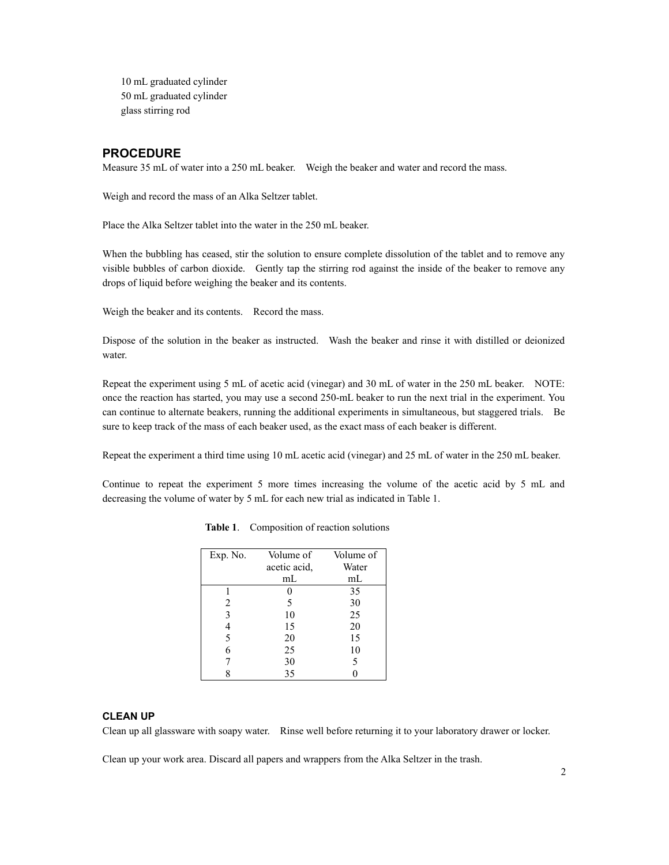10 mL graduated cylinder 50 mL graduated cylinder glass stirring rod

#### **PROCEDURE**

Measure 35 mL of water into a 250 mL beaker. Weigh the beaker and water and record the mass.

Weigh and record the mass of an Alka Seltzer tablet.

Place the Alka Seltzer tablet into the water in the 250 mL beaker.

When the bubbling has ceased, stir the solution to ensure complete dissolution of the tablet and to remove any visible bubbles of carbon dioxide. Gently tap the stirring rod against the inside of the beaker to remove any drops of liquid before weighing the beaker and its contents.

Weigh the beaker and its contents. Record the mass.

Dispose of the solution in the beaker as instructed. Wash the beaker and rinse it with distilled or deionized water.

Repeat the experiment using 5 mL of acetic acid (vinegar) and 30 mL of water in the 250 mL beaker. NOTE: once the reaction has started, you may use a second 250-mL beaker to run the next trial in the experiment. You can continue to alternate beakers, running the additional experiments in simultaneous, but staggered trials. Be sure to keep track of the mass of each beaker used, as the exact mass of each beaker is different.

Repeat the experiment a third time using 10 mL acetic acid (vinegar) and 25 mL of water in the 250 mL beaker.

Continue to repeat the experiment 5 more times increasing the volume of the acetic acid by 5 mL and decreasing the volume of water by 5 mL for each new trial as indicated in Table 1.

| Exp. No. | Volume of    | Volume of |  |  |
|----------|--------------|-----------|--|--|
|          | acetic acid, | Water     |  |  |
|          | mL           | mL        |  |  |
|          |              | 35        |  |  |
| 2        | 5            | 30        |  |  |
| 3        | 10           | 25        |  |  |
| 4        | 15           | 20        |  |  |
| 5        | 20           | 15        |  |  |
| 6        | 25           | 10        |  |  |
|          | 30           | 5         |  |  |
|          | 35           |           |  |  |

 **Table 1**. Composition of reaction solutions

#### **CLEAN UP**

Clean up all glassware with soapy water. Rinse well before returning it to your laboratory drawer or locker.

Clean up your work area. Discard all papers and wrappers from the Alka Seltzer in the trash.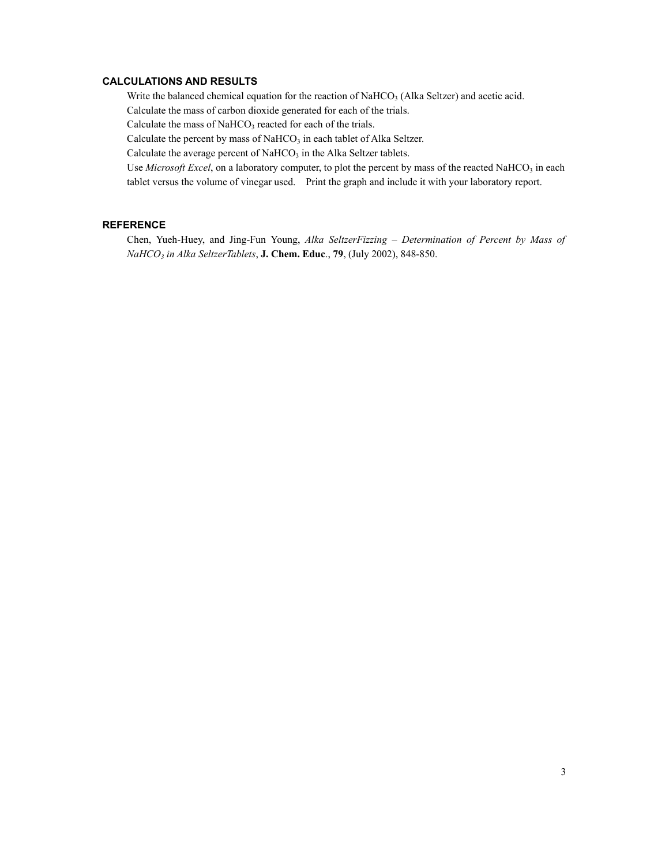#### **CALCULATIONS AND RESULTS**

Write the balanced chemical equation for the reaction of NaHCO<sub>3</sub> (Alka Seltzer) and acetic acid.

Calculate the mass of carbon dioxide generated for each of the trials.

Calculate the mass of  $NAHCO<sub>3</sub>$  reacted for each of the trials.

Calculate the percent by mass of NaHCO<sub>3</sub> in each tablet of Alka Seltzer.

Calculate the average percent of  $NaHCO<sub>3</sub>$  in the Alka Seltzer tablets.

Use *Microsoft Excel*, on a laboratory computer, to plot the percent by mass of the reacted NaHCO<sub>3</sub> in each tablet versus the volume of vinegar used. Print the graph and include it with your laboratory report.

#### **REFERENCE**

Chen, Yueh-Huey, and Jing-Fun Young, *Alka SeltzerFizzing – Determination of Percent by Mass of NaHCO3 in Alka SeltzerTablets*, **J. Chem. Educ**., **79**, (July 2002), 848-850.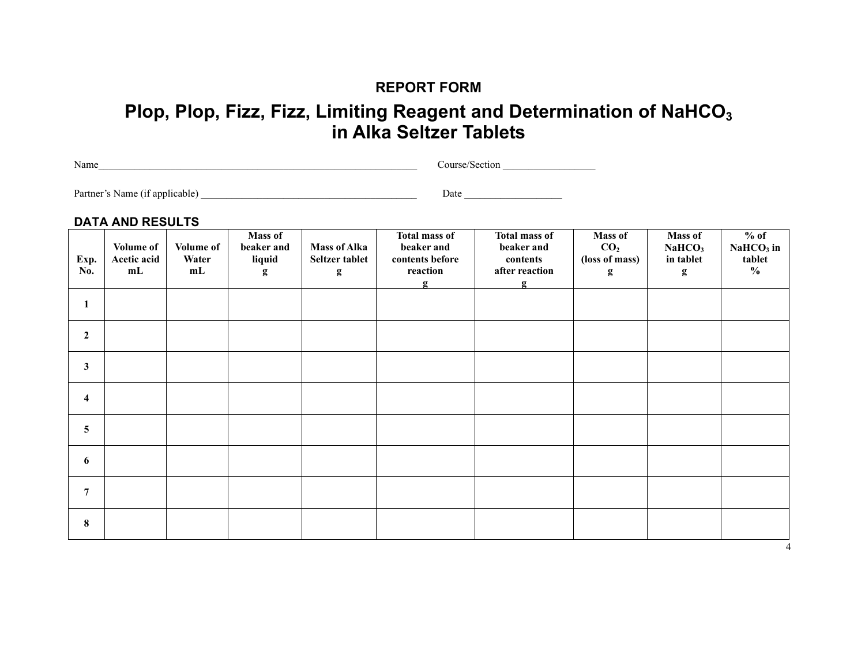### **REPORT FORM**

# **Plop, Plop, Fizz, Fizz, Limiting Reagent and Determination of NaHCO<sub>3</sub> in Alka Seltzer Tablets**

Name\_\_\_\_\_\_\_\_\_\_\_\_\_\_\_\_\_\_\_\_\_\_\_\_\_\_\_\_\_\_\_\_\_\_\_\_\_\_\_\_\_\_\_\_\_\_\_\_\_\_\_\_\_\_\_\_\_\_\_\_\_\_ Course/Section \_\_\_\_\_\_\_\_\_\_\_\_\_\_\_\_\_\_

Partner's Name (if applicable) \_\_\_\_\_\_\_\_\_\_\_\_\_\_\_\_\_\_\_\_\_\_\_\_\_\_\_\_\_\_\_\_\_\_\_\_\_\_\_\_\_\_ Date \_\_\_\_\_\_\_\_\_\_\_\_\_\_\_\_\_\_\_

#### **DATA AND RESULTS**

| Exp.<br>No.    | <b>Volume of</b><br>Acetic acid<br>mL | Volume of<br>Water<br>mL | Mass of<br>beaker and<br>liquid<br>g | <b>Mass of Alka</b><br>Seltzer tablet<br>g | <b>Total mass of</b><br>beaker and<br>contents before<br>reaction<br>$\mathbf{g}$ | <b>Total mass of</b><br>beaker and<br>contents<br>after reaction<br>$\mathbf{g}$ | Mass of<br>CO <sub>2</sub><br>(loss of mass)<br>g | Mass of<br>NaHCO <sub>3</sub><br>in tablet<br>$\mathbf{g}$ | $%$ of<br>$NaHCO3$ in<br>tablet<br>$\frac{0}{0}$ |
|----------------|---------------------------------------|--------------------------|--------------------------------------|--------------------------------------------|-----------------------------------------------------------------------------------|----------------------------------------------------------------------------------|---------------------------------------------------|------------------------------------------------------------|--------------------------------------------------|
| 1              |                                       |                          |                                      |                                            |                                                                                   |                                                                                  |                                                   |                                                            |                                                  |
| $\mathbf{2}$   |                                       |                          |                                      |                                            |                                                                                   |                                                                                  |                                                   |                                                            |                                                  |
| $\mathbf{3}$   |                                       |                          |                                      |                                            |                                                                                   |                                                                                  |                                                   |                                                            |                                                  |
| 4              |                                       |                          |                                      |                                            |                                                                                   |                                                                                  |                                                   |                                                            |                                                  |
| 5              |                                       |                          |                                      |                                            |                                                                                   |                                                                                  |                                                   |                                                            |                                                  |
| 6              |                                       |                          |                                      |                                            |                                                                                   |                                                                                  |                                                   |                                                            |                                                  |
| $\overline{7}$ |                                       |                          |                                      |                                            |                                                                                   |                                                                                  |                                                   |                                                            |                                                  |
| 8              |                                       |                          |                                      |                                            |                                                                                   |                                                                                  |                                                   |                                                            |                                                  |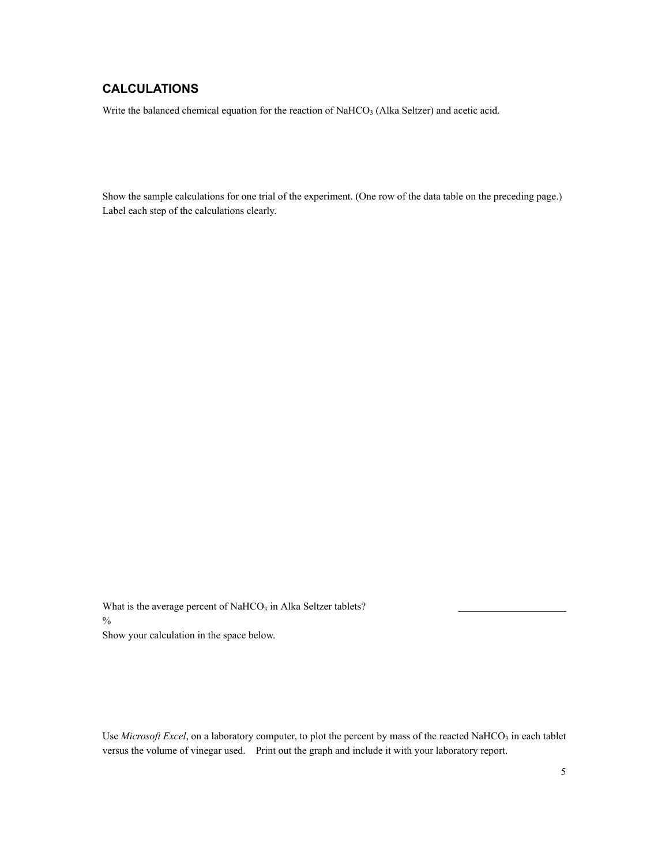### **CALCULATIONS**

Write the balanced chemical equation for the reaction of NaHCO<sub>3</sub> (Alka Seltzer) and acetic acid.

Show the sample calculations for one trial of the experiment. (One row of the data table on the preceding page.) Label each step of the calculations clearly.

What is the average percent of NaHCO<sub>3</sub> in Alka Seltzer tablets?  $\frac{0}{0}$ 

Show your calculation in the space below.

Use *Microsoft Excel*, on a laboratory computer, to plot the percent by mass of the reacted NaHCO<sub>3</sub> in each tablet versus the volume of vinegar used. Print out the graph and include it with your laboratory report.